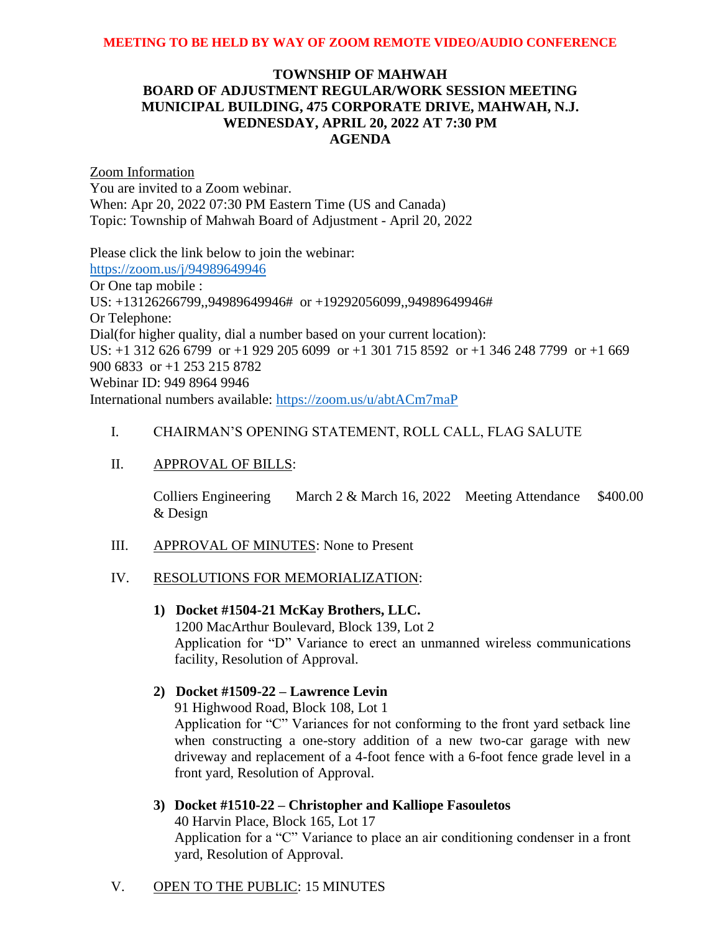## **TOWNSHIP OF MAHWAH BOARD OF ADJUSTMENT REGULAR/WORK SESSION MEETING MUNICIPAL BUILDING, 475 CORPORATE DRIVE, MAHWAH, N.J. WEDNESDAY, APRIL 20, 2022 AT 7:30 PM AGENDA**

Zoom Information You are invited to a Zoom webinar. When: Apr 20, 2022 07:30 PM Eastern Time (US and Canada) Topic: Township of Mahwah Board of Adjustment - April 20, 2022

Please click the link below to join the webinar: <https://zoom.us/j/94989649946> Or One tap mobile : US: +13126266799,,94989649946# or +19292056099,,94989649946# Or Telephone: Dial(for higher quality, dial a number based on your current location): US: +1 312 626 6799 or +1 929 205 6099 or +1 301 715 8592 or +1 346 248 7799 or +1 669 900 6833 or +1 253 215 8782 Webinar ID: 949 8964 9946 International numbers available:<https://zoom.us/u/abtACm7maP>

## I. CHAIRMAN'S OPENING STATEMENT, ROLL CALL, FLAG SALUTE

## II. APPROVAL OF BILLS:

Colliers Engineering & Design March 2 & March 16, 2022 Meeting Attendance \$400.00

## III. APPROVAL OF MINUTES: None to Present

## IV. RESOLUTIONS FOR MEMORIALIZATION:

#### **1) Docket #1504-21 McKay Brothers, LLC.**

1200 MacArthur Boulevard, Block 139, Lot 2 Application for "D" Variance to erect an unmanned wireless communications facility, Resolution of Approval.

## **2) Docket #1509-22 – Lawrence Levin**

91 Highwood Road, Block 108, Lot 1

Application for "C" Variances for not conforming to the front yard setback line when constructing a one-story addition of a new two-car garage with new driveway and replacement of a 4-foot fence with a 6-foot fence grade level in a front yard, Resolution of Approval.

## **3) Docket #1510-22 – Christopher and Kalliope Fasouletos**

40 Harvin Place, Block 165, Lot 17 Application for a "C" Variance to place an air conditioning condenser in a front yard, Resolution of Approval.

## V. OPEN TO THE PUBLIC: 15 MINUTES